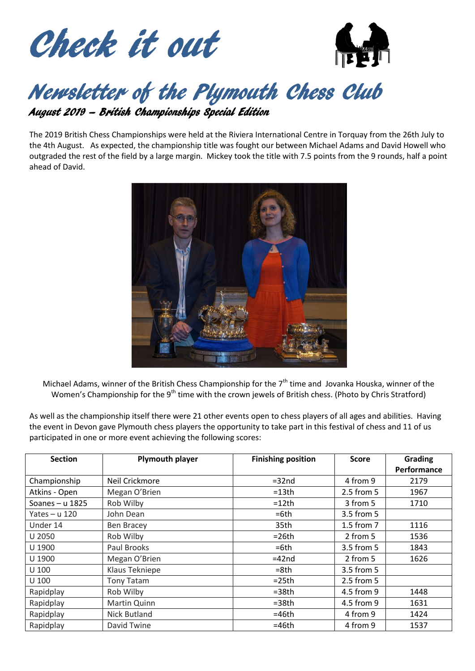



# Newsletter of the Plymouth Chess Club

August 2019 – British Championships Special Edition

The 2019 British Chess Championships were held at the Riviera International Centre in Torquay from the 26th July to the 4th August. As expected, the championship title was fought our between Michael Adams and David Howell who outgraded the rest of the field by a large margin. Mickey took the title with 7.5 points from the 9 rounds, half a point ahead of David.



Michael Adams, winner of the British Chess Championship for the  $7<sup>th</sup>$  time and Jovanka Houska, winner of the Women's Championship for the 9<sup>th</sup> time with the crown jewels of British chess. (Photo by Chris Stratford)

As well as the championship itself there were 21 other events open to chess players of all ages and abilities. Having the event in Devon gave Plymouth chess players the opportunity to take part in this festival of chess and 11 of us participated in one or more event achieving the following scores:

| <b>Section</b>    | <b>Plymouth player</b> | <b>Finishing position</b> | <b>Score</b> | <b>Grading</b> |
|-------------------|------------------------|---------------------------|--------------|----------------|
|                   |                        |                           |              | Performance    |
| Championship      | Neil Crickmore         | $=32nd$                   | 4 from 9     | 2179           |
| Atkins - Open     | Megan O'Brien          | $=13th$                   | 2.5 from 5   | 1967           |
| Soanes $- u 1825$ | Rob Wilby              | $=12th$                   | 3 from 5     | 1710           |
| Yates $- u 120$   | John Dean              | $=6th$                    | 3.5 from 5   |                |
| Under 14          | Ben Bracey             | 35th                      | 1.5 from 7   | 1116           |
| U 2050            | Rob Wilby              | $=26th$                   | 2 from 5     | 1536           |
| U 1900            | Paul Brooks            | $=6th$                    | 3.5 from 5   | 1843           |
| U 1900            | Megan O'Brien          | $=42$ nd                  | 2 from 5     | 1626           |
| $U$ 100           | Klaus Tekniepe         | $= 8th$                   | 3.5 from 5   |                |
| U 100             | <b>Tony Tatam</b>      | $=25th$                   | 2.5 from 5   |                |
| Rapidplay         | Rob Wilby              | $=38th$                   | 4.5 from 9   | 1448           |
| Rapidplay         | Martin Quinn           | $=38th$                   | 4.5 from 9   | 1631           |
| Rapidplay         | Nick Butland           | $=46th$                   | 4 from 9     | 1424           |
| Rapidplay         | David Twine            | $=46th$                   | 4 from 9     | 1537           |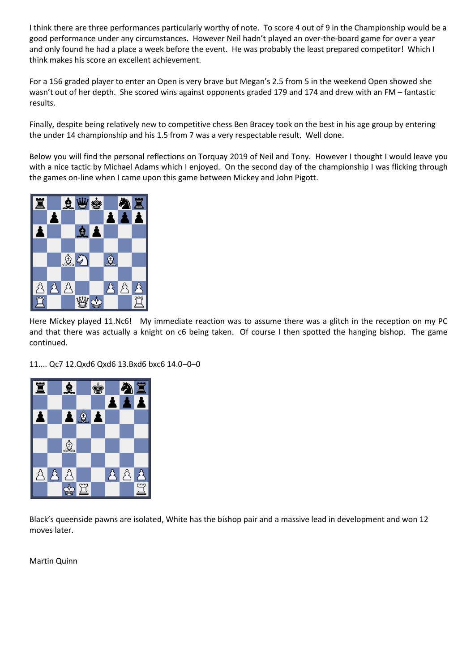I think there are three performances particularly worthy of note. To score 4 out of 9 in the Championship would be a good performance under any circumstances. However Neil hadn't played an over-the-board game for over a year and only found he had a place a week before the event. He was probably the least prepared competitor! Which I think makes his score an excellent achievement.

For a 156 graded player to enter an Open is very brave but Megan's 2.5 from 5 in the weekend Open showed she wasn't out of her depth. She scored wins against opponents graded 179 and 174 and drew with an FM – fantastic results.

Finally, despite being relatively new to competitive chess Ben Bracey took on the best in his age group by entering the under 14 championship and his 1.5 from 7 was a very respectable result. Well done.

Below you will find the personal reflections on Torquay 2019 of Neil and Tony. However I thought I would leave you with a nice tactic by Michael Adams which I enjoyed. On the second day of the championship I was flicking through the games on-line when I came upon this game between Mickey and John Pigott.



Here Mickey played 11.Nc6! My immediate reaction was to assume there was a glitch in the reception on my PC and that there was actually a knight on c6 being taken. Of course I then spotted the hanging bishop. The game continued.

11.... Qc7 12.Qxd6 Qxd6 13.Bxd6 bxc6 14.0–0–0



Black's queenside pawns are isolated, White has the bishop pair and a massive lead in development and won 12 moves later.

Martin Quinn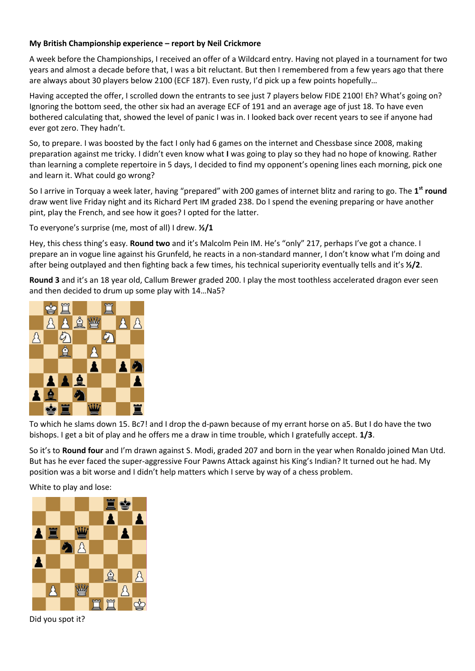### **My British Championship experience – report by Neil Crickmore**

A week before the Championships, I received an offer of a Wildcard entry. Having not played in a tournament for two years and almost a decade before that, I was a bit reluctant. But then I remembered from a few years ago that there are always about 30 players below 2100 (ECF 187). Even rusty, I'd pick up a few points hopefully…

Having accepted the offer, I scrolled down the entrants to see just 7 players below FIDE 2100! Eh? What's going on? Ignoring the bottom seed, the other six had an average ECF of 191 and an average age of just 18. To have even bothered calculating that, showed the level of panic I was in. I looked back over recent years to see if anyone had ever got zero. They hadn't.

So, to prepare. I was boosted by the fact I only had 6 games on the internet and Chessbase since 2008, making preparation against me tricky. I didn't even know what **I** was going to play so they had no hope of knowing. Rather than learning a complete repertoire in 5 days, I decided to find my opponent's opening lines each morning, pick one and learn it. What could go wrong?

So I arrive in Torquay a week later, having "prepared" with 200 games of internet blitz and raring to go. The **1 st round** draw went live Friday night and its Richard Pert IM graded 238. Do I spend the evening preparing or have another pint, play the French, and see how it goes? I opted for the latter.

To everyone's surprise (me, most of all) I drew. **½/1**

Hey, this chess thing's easy. **Round two** and it's Malcolm Pein IM. He's "only" 217, perhaps I've got a chance. I prepare an in vogue line against his Grunfeld, he reacts in a non-standard manner, I don't know what I'm doing and after being outplayed and then fighting back a few times, his technical superiority eventually tells and it's **½/2**.

**Round 3** and it's an 18 year old, Callum Brewer graded 200. I play the most toothless accelerated dragon ever seen and then decided to drum up some play with 14…Na5?



To which he slams down 15. Bc7! and I drop the d-pawn because of my errant horse on a5. But I do have the two bishops. I get a bit of play and he offers me a draw in time trouble, which I gratefully accept. **1/3**.

So it's to **Round four** and I'm drawn against S. Modi, graded 207 and born in the year when Ronaldo joined Man Utd. But has he ever faced the super-aggressive Four Pawns Attack against his King's Indian? It turned out he had. My position was a bit worse and I didn't help matters which I serve by way of a chess problem.

White to play and lose:



Did you spot it?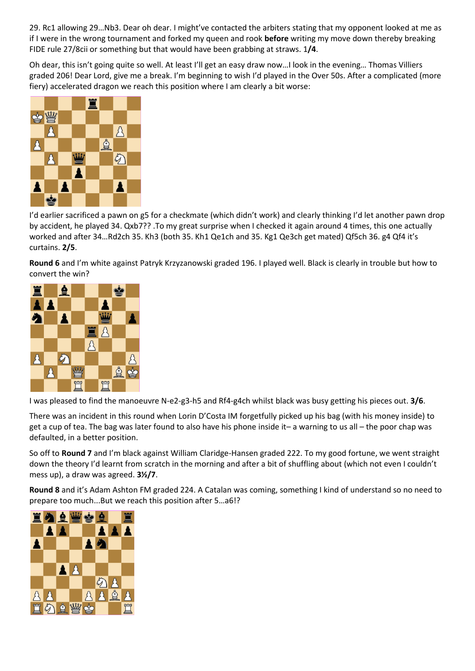29. Rc1 allowing 29…Nb3. Dear oh dear. I might've contacted the arbiters stating that my opponent looked at me as if I were in the wrong tournament and forked my queen and rook **before** writing my move down thereby breaking FIDE rule 27/8cii or something but that would have been grabbing at straws. 1**/4**.

Oh dear, this isn't going quite so well. At least I'll get an easy draw now…I look in the evening… Thomas Villiers graded 206! Dear Lord, give me a break. I'm beginning to wish I'd played in the Over 50s. After a complicated (more fiery) accelerated dragon we reach this position where I am clearly a bit worse:



I'd earlier sacrificed a pawn on g5 for a checkmate (which didn't work) and clearly thinking I'd let another pawn drop by accident, he played 34. Qxb7?? .To my great surprise when I checked it again around 4 times, this one actually worked and after 34…Rd2ch 35. Kh3 (both 35. Kh1 Qe1ch and 35. Kg1 Qe3ch get mated) Qf5ch 36. g4 Qf4 it's curtains. **2/5**.

**Round 6** and I'm white against Patryk Krzyzanowski graded 196. I played well. Black is clearly in trouble but how to convert the win?



I was pleased to find the manoeuvre N-e2-g3-h5 and Rf4-g4ch whilst black was busy getting his pieces out. **3/6**.

There was an incident in this round when Lorin D'Costa IM forgetfully picked up his bag (with his money inside) to get a cup of tea. The bag was later found to also have his phone inside it– a warning to us all – the poor chap was defaulted, in a better position.

So off to **Round 7** and I'm black against William Claridge-Hansen graded 222. To my good fortune, we went straight down the theory I'd learnt from scratch in the morning and after a bit of shuffling about (which not even I couldn't mess up), a draw was agreed. **3½/7**.

**Round 8** and it's Adam Ashton FM graded 224. A Catalan was coming, something I kind of understand so no need to prepare too much...But we reach this position after 5…a6!?

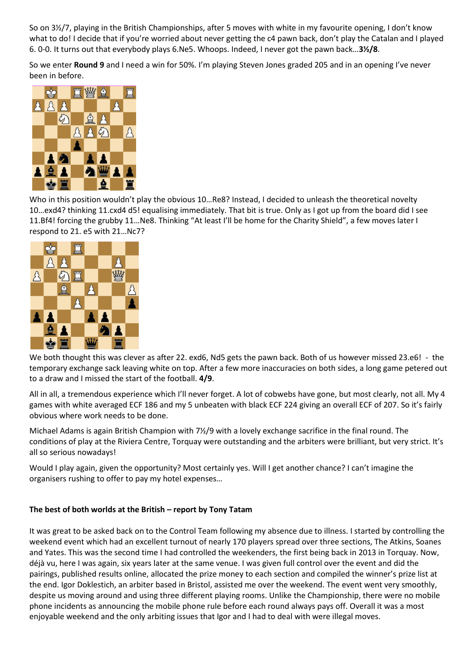So on 3½/7, playing in the British Championships, after 5 moves with white in my favourite opening, I don't know what to do! I decide that if you're worried about never getting the c4 pawn back, don't play the Catalan and I played 6. 0-0. It turns out that everybody plays 6.Ne5. Whoops. Indeed, I never got the pawn back…**3½/8**.

So we enter **Round 9** and I need a win for 50%. I'm playing Steven Jones graded 205 and in an opening I've never been in before.



Who in this position wouldn't play the obvious 10…Re8? Instead, I decided to unleash the theoretical novelty 10…exd4? thinking 11.cxd4 d5! equalising immediately. That bit is true. Only as I got up from the board did I see 11.Bf4! forcing the grubby 11…Ne8. Thinking "At least I'll be home for the Charity Shield", a few moves later I respond to 21. e5 with 21…Nc7?



We both thought this was clever as after 22. exd6, Nd5 gets the pawn back. Both of us however missed 23.e6! - the temporary exchange sack leaving white on top. After a few more inaccuracies on both sides, a long game petered out to a draw and I missed the start of the football. **4/9**.

All in all, a tremendous experience which I'll never forget. A lot of cobwebs have gone, but most clearly, not all. My 4 games with white averaged ECF 186 and my 5 unbeaten with black ECF 224 giving an overall ECF of 207. So it's fairly obvious where work needs to be done.

Michael Adams is again British Champion with 7½/9 with a lovely exchange sacrifice in the final round. The conditions of play at the Riviera Centre, Torquay were outstanding and the arbiters were brilliant, but very strict. It's all so serious nowadays!

Would I play again, given the opportunity? Most certainly yes. Will I get another chance? I can't imagine the organisers rushing to offer to pay my hotel expenses…

## **The best of both worlds at the British – report by Tony Tatam**

It was great to be asked back on to the Control Team following my absence due to illness. I started by controlling the weekend event which had an excellent turnout of nearly 170 players spread over three sections, The Atkins, Soanes and Yates. This was the second time I had controlled the weekenders, the first being back in 2013 in Torquay. Now, déjà vu, here I was again, six years later at the same venue. I was given full control over the event and did the pairings, published results online, allocated the prize money to each section and compiled the winner's prize list at the end. Igor Doklestich, an arbiter based in Bristol, assisted me over the weekend. The event went very smoothly, despite us moving around and using three different playing rooms. Unlike the Championship, there were no mobile phone incidents as announcing the mobile phone rule before each round always pays off. Overall it was a most enjoyable weekend and the only arbiting issues that Igor and I had to deal with were illegal moves.